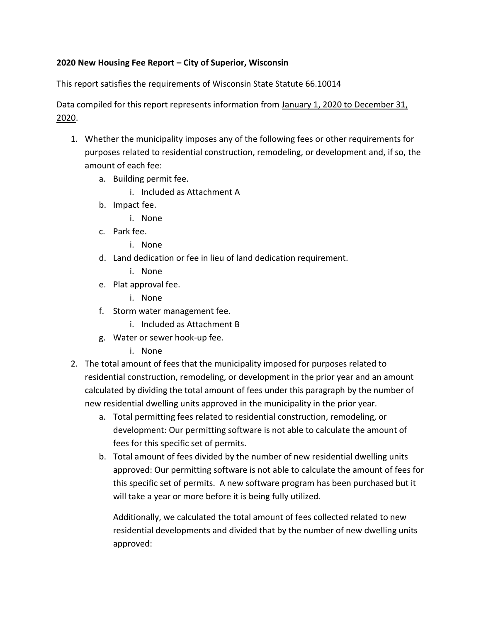#### **2020 New Housing Fee Report – City of Superior, Wisconsin**

This report satisfies the requirements of Wisconsin State Statute 66.10014

Data compiled for this report represents information from January 1, 2020 to December 31, 2020.

- 1. Whether the municipality imposes any of the following fees or other requirements for purposes related to residential construction, remodeling, or development and, if so, the amount of each fee:
	- a. Building permit fee.
		- i. Included as Attachment A
	- b. Impact fee.
		- i. None
	- c. Park fee.
		- i. None
	- d. Land dedication or fee in lieu of land dedication requirement.
		- i. None
	- e. Plat approval fee.
		- i. None
	- f. Storm water management fee.
		- i. Included as Attachment B
	- g. Water or sewer hook-up fee.
		- i. None
- 2. The total amount of fees that the municipality imposed for purposes related to residential construction, remodeling, or development in the prior year and an amount calculated by dividing the total amount of fees under this paragraph by the number of new residential dwelling units approved in the municipality in the prior year.
	- a. Total permitting fees related to residential construction, remodeling, or development: Our permitting software is not able to calculate the amount of fees for this specific set of permits.
	- b. Total amount of fees divided by the number of new residential dwelling units approved: Our permitting software is not able to calculate the amount of fees for this specific set of permits. A new software program has been purchased but it will take a year or more before it is being fully utilized.

Additionally, we calculated the total amount of fees collected related to new residential developments and divided that by the number of new dwelling units approved: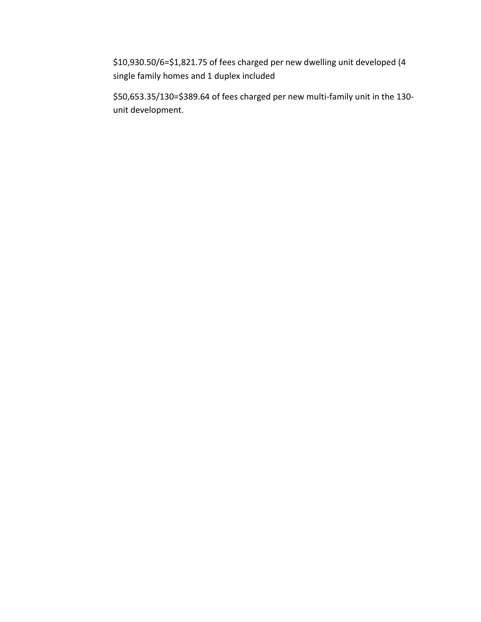\$10,930.50/6=\$1,821.75 of fees charged per new dwelling unit developed (4 single family homes and 1 duplex included

\$50,653.35/130=\$389.64 of fees charged per new multi-family unit in the 130 unit development.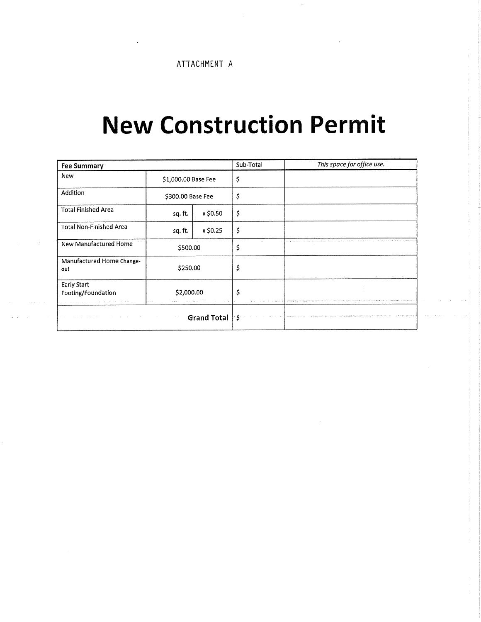#### **New Construction Permit**

| <b>Fee Summary</b>                                     |                     |          | Sub-Total | This space for office use.                                           |
|--------------------------------------------------------|---------------------|----------|-----------|----------------------------------------------------------------------|
| <b>New</b>                                             | \$1,000.00 Base Fee |          | \$        |                                                                      |
| Addition                                               | \$300.00 Base Fee   |          | \$        |                                                                      |
| <b>Total Finished Area</b>                             | sq. ft.             | x \$0.50 | Ş         |                                                                      |
| <b>Total Non-Finished Area</b>                         | sq. ft.             | x \$0.25 | \$        |                                                                      |
| New Manufactured Home                                  | \$500.00            |          | \$        |                                                                      |
| Manufactured Home Change-<br>out                       | \$250.00            |          | \$        | of any<br>And the company's company<br>and the company's company and |
| <b>Early Start</b><br>\$2,000.00<br>Footing/Foundation |                     |          | \$.       |                                                                      |
| <b>Grand Total</b><br>$\sim$ $\sim$                    |                     |          | S.        |                                                                      |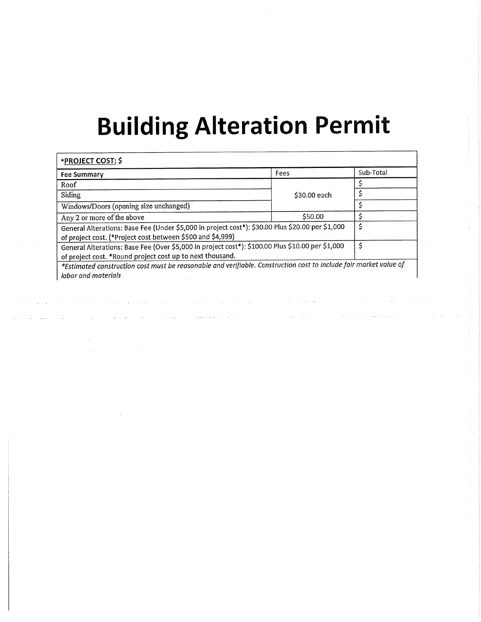## **Building Alteration Permit**

| *PROJECT COST: \$                                                                                                                                              |              |           |
|----------------------------------------------------------------------------------------------------------------------------------------------------------------|--------------|-----------|
| Fee Summary                                                                                                                                                    | Fees         | Sub-Total |
| Roof                                                                                                                                                           |              |           |
| Siding                                                                                                                                                         | \$30.00 each |           |
| Windows/Doors (opening size unchanged)                                                                                                                         |              |           |
| Any 2 or more of the above                                                                                                                                     | \$50.00      |           |
| General Alterations: Base Fee (Under \$5,000 in project cost*): \$30.00 Plus \$20.00 per \$1,000<br>of project cost. (*Project cost between \$500 and \$4,999) |              | \$        |
| General Alterations: Base Fee (Over \$5,000 in project cost*): \$100.00 Plus \$10.00 per \$1,000<br>of project cost. *Round project cost up to next thousand.  |              | \$        |
| *Estimated construction cost must be reasonable and verifiable. Construction cost to include fair market value of<br>labor and materials                       |              |           |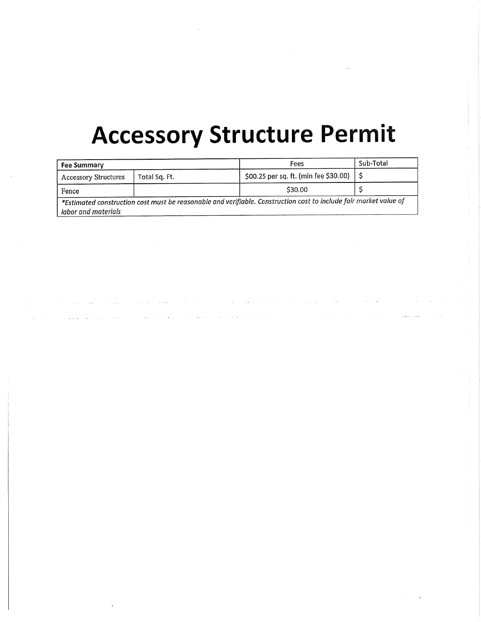## **Accessory Structure Permit**

| <b>Fee Summary</b>          |               | Fees                                                                                                              | Sub-Total |
|-----------------------------|---------------|-------------------------------------------------------------------------------------------------------------------|-----------|
| <b>Accessory Structures</b> | Total Sq. Ft. | \$00.25 per sq. ft. (min fee \$30.00)                                                                             |           |
| Fence                       |               | \$30.00                                                                                                           |           |
| labor and materials         |               | *Estimated construction cost must be reasonable and verifiable. Construction cost to include fair market value of |           |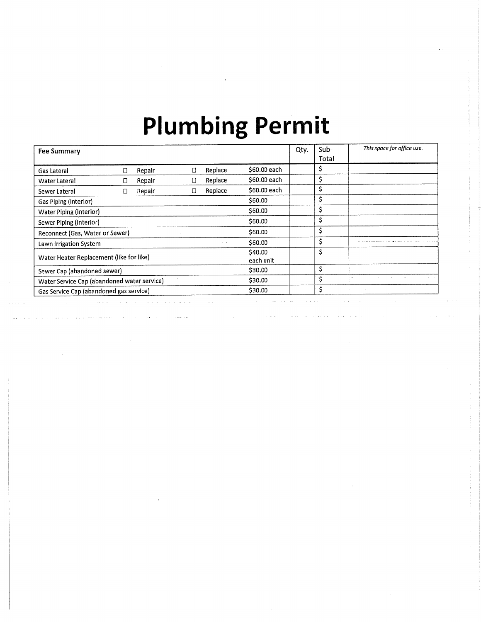# **Plumbing Permit**

| <b>Fee Summary</b>                          |   |        |   |            |                      | Qty. | $Sub-$<br>Total | This space for office use. |
|---------------------------------------------|---|--------|---|------------|----------------------|------|-----------------|----------------------------|
| Gas Lateral                                 | □ | Repair | Π | Replace    | \$60,00 each         |      | S               |                            |
| Water Lateral                               | Ο | Repair | U | Replace    | \$60,00 each         |      | Ş               |                            |
| Sewer Lateral                               | D | Repair | O | Replace    | \$60.00 each         |      | \$              |                            |
| Gas Piping (interior)                       |   |        |   |            | \$60.00              |      | \$              |                            |
| Water Piping (Interior)                     |   |        |   |            | \$60.00              |      | \$              |                            |
| Sewer Piping (interior)                     |   |        |   |            | \$60.00              |      | \$              |                            |
| Reconnect (Gas, Water or Sewer)             |   |        |   |            | \$60.00              |      | \$              |                            |
| Lawn Irrigation System                      |   |        |   | $\sim$ 1.4 | \$60.00              |      | \$              |                            |
| Water Heater Replacement (like for like)    |   |        |   |            | \$40.00<br>each unit |      | \$              |                            |
| Sewer Cap (abandoned sewer)                 |   |        |   |            | \$30.00              |      | \$              |                            |
| Water Service Cap (abandoned water service) |   |        |   |            | \$30.00              |      | \$              |                            |
| Gas Service Cap (abandoned gas service)     |   |        |   |            | \$30.00              |      | Ś               |                            |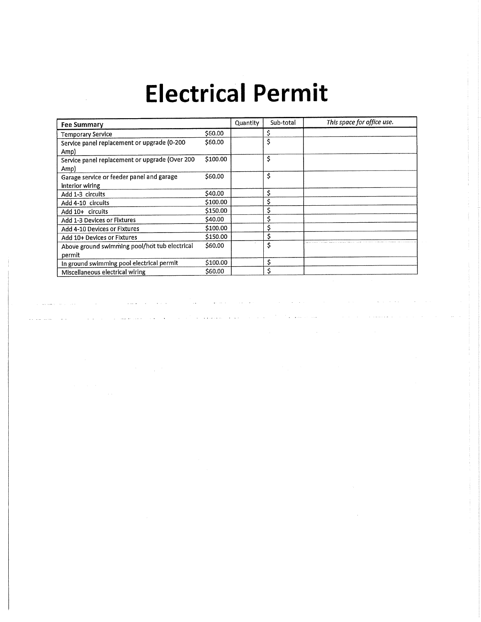## **Electrical Permit**

| <b>Fee Summary</b>                             |          | Quantity | Sub-total | This space for office use. |
|------------------------------------------------|----------|----------|-----------|----------------------------|
| <b>Temporary Service</b>                       | \$60.00  |          |           |                            |
| Service panel replacement or upgrade (0-200    | \$60.00  |          | Ş         |                            |
| Amp)                                           |          |          |           |                            |
| Service panel replacement or upgrade (Over 200 | \$100.00 |          | \$        |                            |
| Amp)                                           |          |          |           |                            |
| Garage service or feeder panel and garage      | \$60.00  |          | \$        |                            |
| interior wiring                                |          |          |           |                            |
| Add 1-3 circuits                               | \$40.00  |          | \$        |                            |
| Add 4-10 circuits                              | \$100.00 |          | \$        |                            |
| Add 10+ circuits                               | \$150.00 |          | \$        |                            |
| Add 1-3 Devices or Fixtures                    | \$40.00  |          |           |                            |
| Add 4-10 Devices or Fixtures                   | \$100.00 |          |           |                            |
| Add 10+ Devices or Fixtures                    | \$150.00 |          |           |                            |
| Above ground swimming pool/hot tub electrical  | \$60.00  |          | \$        |                            |
| permit                                         |          |          |           |                            |
| In ground swimming pool electrical permit      | \$100.00 |          | \$        |                            |
| Miscellaneous electrical wiring                | \$60.00  |          | Ś         |                            |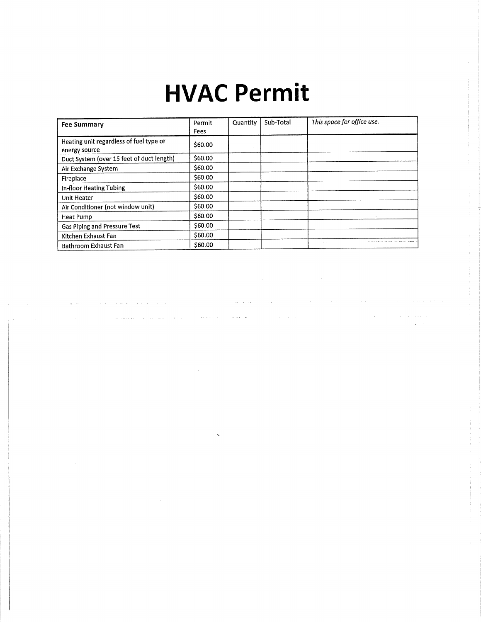### **HVAC Permit**

| <b>Fee Summary</b>                                       | Permit<br>Fees | Quantity | Sub-Total | This space for office use. |
|----------------------------------------------------------|----------------|----------|-----------|----------------------------|
| Heating unit regardless of fuel type or<br>energy source | \$60.00        |          |           |                            |
| Duct System (over 15 feet of duct length)                | \$60.00        |          |           |                            |
| Air Exchange System                                      | \$60.00        |          |           |                            |
| Fireplace                                                | \$60,00        |          |           |                            |
| In-floor Heating Tubing                                  | \$60,00        |          |           |                            |
| Unit Heater                                              | \$60.00        |          |           |                            |
| Air Conditioner (not window unit)                        | \$60.00        |          |           |                            |
| <b>Heat Pump</b>                                         | \$60.00        |          |           |                            |
| Gas Piping and Pressure Test                             | \$60.00        |          |           |                            |
| Kitchen Exhaust Fan                                      | \$60.00        |          |           |                            |
| <b>Bathroom Exhaust Fan</b>                              | \$60.00        |          |           |                            |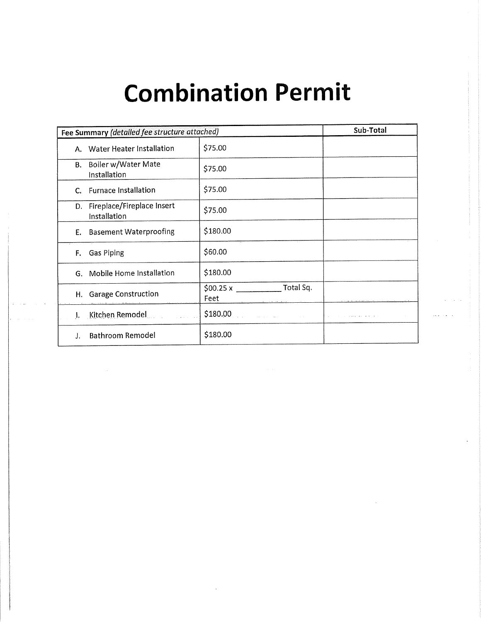## **Combination Permit**

| Fee Summary (detailed fee structure attached)    |                                      | Sub-Total |
|--------------------------------------------------|--------------------------------------|-----------|
| Water Heater Installation<br>А.                  | \$75.00                              |           |
| Boiler w/Water Mate<br>В.<br>Installation        | \$75.00                              |           |
| <b>Furnace Installation</b><br>C.                | \$75.00                              |           |
| Fireplace/Fireplace Insert<br>D.<br>Installation | \$75.00                              |           |
| <b>Basement Waterproofing</b><br>Е.              | \$180.00                             |           |
| <b>Gas Piping</b><br>F.                          | \$60.00                              |           |
| Mobile Home Installation<br>G.                   | \$180.00                             |           |
| H. Garage Construction                           | Total Sq.<br>$$00.25 \times$<br>Feet |           |
| Kitchen Remodel                                  | \$180.00                             |           |
| <b>Bathroom Remodel</b>                          | \$180.00                             |           |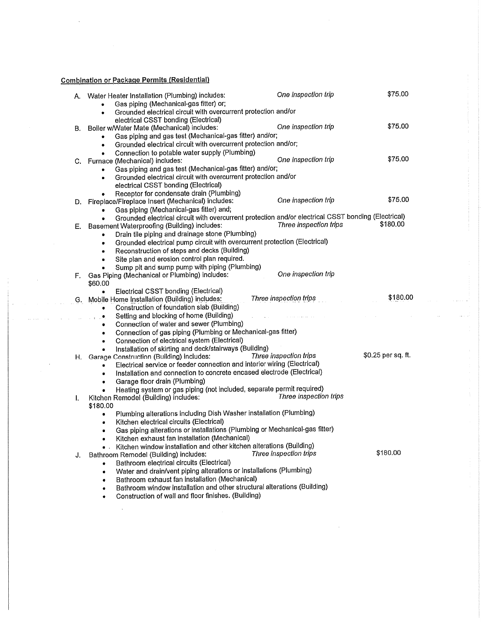#### **Combination or Package Permits (Residential)**

 $\ddot{\phantom{a}}$ 

|    | A. Water Heater Installation (Plumbing) includes:<br>Gas piping (Mechanical-gas fitter) or;                 | One inspection trip                      | \$75.00            |
|----|-------------------------------------------------------------------------------------------------------------|------------------------------------------|--------------------|
|    | Grounded electrical circuit with overcurrent protection and/or<br>٠<br>electrical CSST bonding (Electrical) |                                          |                    |
| В. | Boiler w/Water Mate (Mechanical) includes:                                                                  | One inspection trip                      | \$75.00            |
|    | Gas piping and gas test (Mechanical-gas fitter) and/or;<br>$\bullet$                                        |                                          |                    |
|    | Grounded electrical circuit with overcurrent protection and/or;<br>٠                                        |                                          |                    |
|    | Connection to potable water supply (Plumbing)                                                               |                                          |                    |
|    | C. Furnace (Mechanical) includes:                                                                           | One inspection trip                      | \$75.00            |
|    | Gas piping and gas test (Mechanical-gas fitter) and/or;<br>$\bullet$                                        |                                          |                    |
|    | Grounded electrical circuit with overcurrent protection and/or<br>۰                                         |                                          |                    |
|    | electrical CSST bonding (Electrical)                                                                        |                                          |                    |
|    | Receptor for condensate drain (Plumbing)                                                                    |                                          |                    |
|    | D. Fireplace/Fireplace Insert (Mechanical) includes:                                                        | One inspection trip                      | \$75.00            |
|    | Gas piping (Mechanical-gas fitter) and;                                                                     |                                          |                    |
|    | Grounded electrical circuit with overcurrent protection and/or electrical CSST bonding (Electrical)         |                                          | \$180.00           |
| Е. | Basement Waterproofing (Building) includes:                                                                 | Three inspection trips                   |                    |
|    | Drain tile piping and drainage stone (Plumbing)<br>٠                                                        |                                          |                    |
|    | Grounded electrical pump circuit with overcurrent protection (Electrical)<br>۰                              |                                          |                    |
|    | Reconstruction of steps and decks (Building)<br>٠<br>Site plan and erosion control plan required.           |                                          |                    |
|    | $\bullet$<br>Sump pit and sump pump with piping (Plumbing)                                                  |                                          |                    |
| F. | Gas Piping (Mechanical or Plumbing) includes:                                                               | One inspection trip                      |                    |
|    | \$60,00                                                                                                     |                                          |                    |
|    | Electrical CSST bonding (Electrical)<br>٠                                                                   |                                          |                    |
| G. | Mobile Home Installation (Building) includes:                                                               | Three inspection trips<br>$\mathbb{R}^2$ | \$180.00           |
|    | Construction of foundation slab (Building)<br>$\bullet$                                                     |                                          |                    |
|    | Setting and blocking of home (Building)<br>۰                                                                |                                          |                    |
|    | Connection of water and sewer (Plumbing)<br>۰                                                               |                                          |                    |
|    | Connection of gas piping (Plumbing or Mechanical-gas fitter)                                                |                                          |                    |
|    | Connection of electrical system (Electrical)<br>۰                                                           |                                          |                    |
|    | Installation of skirting and deck/stairways (Building)<br>$\bullet$                                         |                                          |                    |
| Η. | Garage Construction (Building) includes:                                                                    | Three inspection trips                   | \$0.25 per sq. ft. |
|    | Electrical service or feeder connection and interior wiring (Electrical)<br>۰                               |                                          |                    |
|    | Installation and connection to concrete encased electrode (Electrical)                                      |                                          |                    |
|    | Garage floor drain (Plumbing)<br>٠<br>Heating system or gas piping (not included, separate permit required) |                                          |                    |
|    | Kitchen Remodel (Building) includes:                                                                        | Three inspection trips                   |                    |
| Ι. | \$180.00                                                                                                    |                                          |                    |
|    | Plumbing alterations including Dish Washer installation (Plumbing)<br>٠                                     |                                          |                    |
|    | Kitchen electrical circuits (Electrical)<br>٠                                                               |                                          |                    |
|    | Gas piping alterations or installations (Plumbing or Mechanical-gas fitter)<br>٠                            |                                          |                    |
|    | Kitchen exhaust fan installation (Mechanical)                                                               |                                          |                    |
|    | Kitchen window installation and other kitchen alterations (Building)                                        |                                          |                    |
| J. | Bathroom Remodel (Building) includes:                                                                       | Three inspection trips                   | \$180.00           |
|    | Bathroom electrical circuits (Electrical)                                                                   |                                          |                    |
|    | Water and drain/vent piping alterations or installations (Plumbing)<br>۰                                    |                                          |                    |
|    | Bathroom exhaust fan installation (Mechanical)                                                              |                                          |                    |
|    | Bathroom window installation and other structural alterations (Building)                                    |                                          |                    |
|    | Construction of wall and floor finishes. (Building)                                                         |                                          |                    |
|    |                                                                                                             |                                          |                    |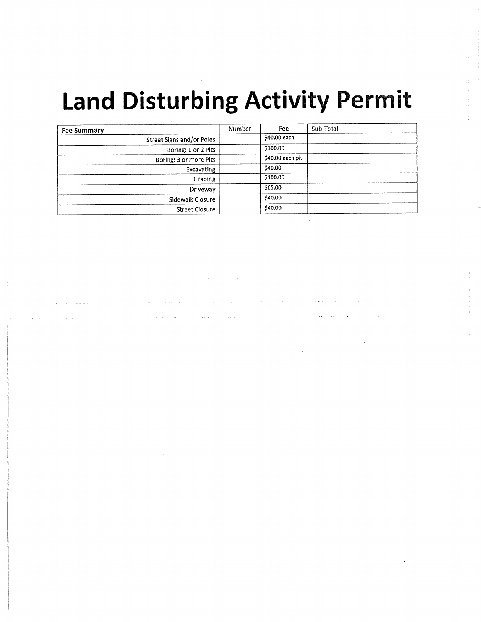# **Land Disturbing Activity Permit**

| <b>Fee Summary</b>        | Number | Fee              | Sub-Total |
|---------------------------|--------|------------------|-----------|
| Street Signs and/or Poles |        | \$40.00 each     |           |
| Boring: 1 or 2 Pits       |        | \$100.00         |           |
| Boring: 3 or more Pits    |        | \$40.00 each pit |           |
| Excavating                |        | \$40.00          |           |
| Grading                   |        | \$100.00         |           |
| Driveway                  |        | \$65.00          |           |
| Sidewalk Closure          |        | \$40.00          |           |
| <b>Street Closure</b>     |        | \$40.00          |           |